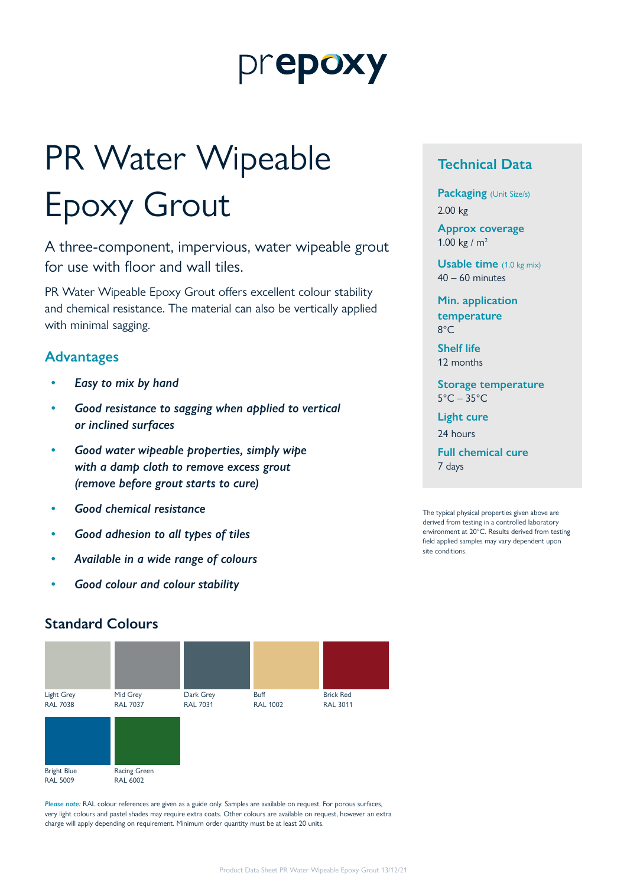## prepoxy

# PR Water Wipeable Epoxy Grout

A three-component, impervious, water wipeable grout for use with floor and wall tiles.

PR Water Wipeable Epoxy Grout offers excellent colour stability and chemical resistance. The material can also be vertically applied with minimal sagging.

#### **Advantages**

- *• Easy to mix by hand*
- *• Good resistance to sagging when applied to vertical or inclined surfaces*
- *• Good water wipeable properties, simply wipe with a damp cloth to remove excess grout (remove before grout starts to cure)*
- *• Good chemical resistance*
- *• Good adhesion to all types of tiles*
- *• Available in a wide range of colours*
- *• Good colour and colour stability*

#### **Technical Data**

**Packaging** (Unit Size/s) 2.00 kg

**Approx coverage** 1.00 kg /  $m<sup>2</sup>$ 

**Usable time** (1.0 kg mix) 40 – 60 minutes

**Min. application temperature** 8°C

**Shelf life** 12 months

**Storage temperature** 5°C – 35°C

**Light cure**

24 hours

**Full chemical cure** 7 days

The typical physical properties given above are derived from testing in a controlled laboratory environment at 20°C. Results derived from testing field applied samples may vary dependent upon site conditions.

#### **Standard Colours**



*Please note:* RAL colour references are given as a guide only. Samples are available on request. For porous surfaces, very light colours and pastel shades may require extra coats. Other colours are available on request, however an extra charge will apply depending on requirement. Minimum order quantity must be at least 20 units.